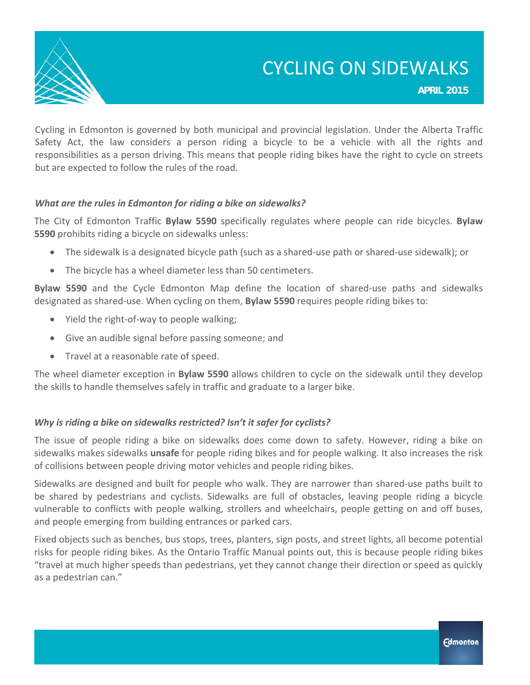

## CYCLING ON SIDEWALKS

**APRIL 2015**

Cycling in Edmonton is governed by both municipal and provincial legislation. Under the Alberta Traffic Safety Act, the law considers a person riding a bicycle to be a vehicle with all the rights and responsibilities as a person driving. This means that people riding bikes have the right to cycle on streets but are expected to follow the rules of the road.

#### *What are the rules in Edmonton for riding a bike on sidewalks?*

The City of Edmonton Traffic **Bylaw 5590** specifically regulates where people can ride bicycles. **Bylaw 5590** prohibits riding a bicycle on sidewalks unless:

- The sidewalk is a designated bicycle path (such as a shared‐use path or shared‐use sidewalk); or
- The bicycle has a wheel diameter less than 50 centimeters.

**Bylaw 5590** and the Cycle Edmonton Map define the location of shared‐use paths and sidewalks designated as shared‐use. When cycling on them, **Bylaw 5590** requires people riding bikes to:

- Yield the right-of-way to people walking;
- Give an audible signal before passing someone; and
- Travel at a reasonable rate of speed.

The wheel diameter exception in **Bylaw 5590** allows children to cycle on the sidewalk until they develop the skills to handle themselves safely in traffic and graduate to a larger bike.

#### *Why is riding a bike on sidewalks restricted? Isn't it safer for cyclists?*

The issue of people riding a bike on sidewalks does come down to safety. However, riding a bike on sidewalks makes sidewalks **unsafe** for people riding bikes and for people walking. It also increases the risk of collisions between people driving motor vehicles and people riding bikes.

Sidewalks are designed and built for people who walk. They are narrower than shared‐use paths built to be shared by pedestrians and cyclists. Sidewalks are full of obstacles, leaving people riding a bicycle vulnerable to conflicts with people walking, strollers and wheelchairs, people getting on and off buses, and people emerging from building entrances or parked cars.

Fixed objects such as benches, bus stops, trees, planters, sign posts, and street lights, all become potential risks for people riding bikes. As the Ontario Traffic Manual points out, this is because people riding bikes "travel at much higher speeds than pedestrians, yet they cannot change their direction or speed as quickly as a pedestrian can."